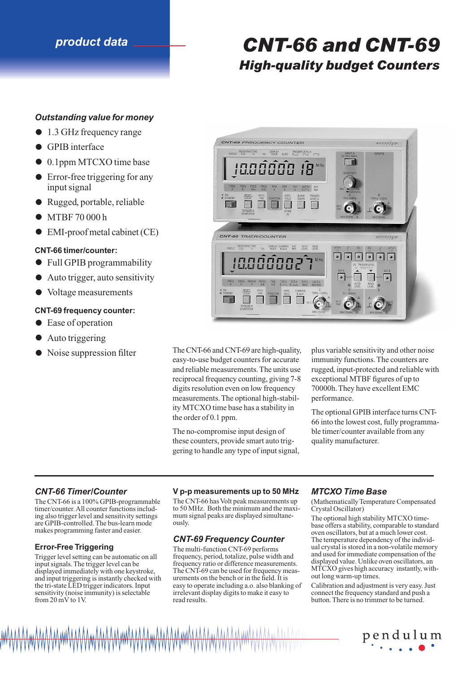# *product data CNT-66 and CNT-69 High-quality budget Counters*

# *Outstanding value for money*

- 1.3 GHz frequency range
- **•** GPIB interface
- 0.1ppm MTCXO time base
- Error-free triggering for any input signal
- Rugged, portable, reliable
- MTBF 70 000 h
- EMI-proof metal cabinet (CE)

# **CNT-66 timer/counter:**

- Full GPIB programmability
- Auto trigger, auto sensitivity
- Voltage measurements

# **CNT-69 frequency counter:**

- Ease of operation
- 
- Auto triggering<br>• Noise suppression filter



The CNT-66 and CNT-69 are high-quality, easy-to-use budget counters for accurate and reliable measurements. The units use reciprocal frequency counting, giving 7-8 digits resolution even on low frequency measurements. The optional high-stability MTCXO time base has a stability in the order of 0.1 ppm.

The no-compromise input design of these counters, provide smart auto triggering to handle any type of input signal, plus variable sensitivity and other noise immunity functions. The counters are rugged, input-protected and reliable with exceptional MTBF figures of up to 70000h. They have excellent EMC performance.

The optional GPIB interface turns CNT-66 into the lowest cost, fully programmable timer/counter available from any quality manufacturer.

# *CNT-66 Timer/Counter*

The CNT-66 is a 100% GPIB-programmable timer/counter. All counter functions including also trigger level and sensitivity settings are GPIB-controlled. The bus-learn mode makes programming faster and easier.

### **Error-Free Triggering**

Trigger level setting can be automatic on all input signals. The trigger level can be displayed immediately with one keystroke, and input triggering is instantly checked with the tri-state LED trigger indicators. Input sensitivity (noise immunity) is selectable from 20 mV to 1V.

### **V p-p measurements up to 50 MHz**

The CNT-66 has Volt peak measurements up to 50 MHz. Both the minimum and the maximum signal peaks are displayed simultaneously.

# *CNT-69 Frequency Counter*

The multi-function CNT-69 performs frequency, period, totalize, pulse width and frequency ratio or difference measurements. The CNT-69 can be used for frequency measurements on the bench or in the field. It is easy to operate including a.o. also blanking of irrelevant display digits to make it easy to read results.

### *MTCXO Time Base*

(Mathematically Temperature Compensated Crystal Oscillator)

The optional high stability MTCXO timebase offers a stability, comparable to standard oven oscillators, but at a much lower cost. The temperature dependency of the individual crystal is stored in a non-volatile memory and used for immediate compensation of the displayed value. Unlike oven oscillators, an MTCXO gives high accuracy instantly, without long warm-up times.

Calibration and adjustment is very easy. Just connect the frequency standard and push a button. There is no trimmer to be turned.